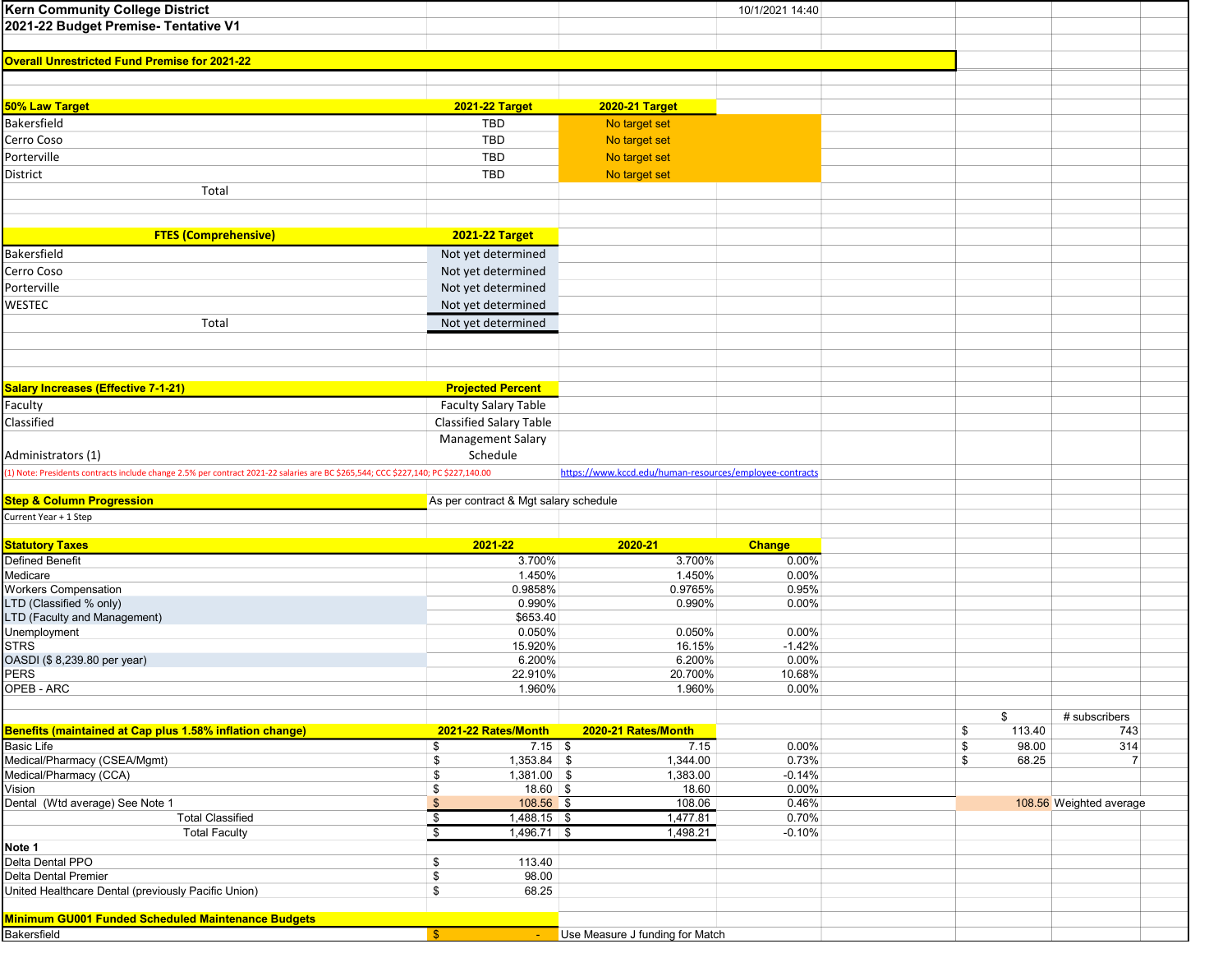| <b>Kern Community College District</b>                                                                                            |                                          |                                                         | 10/1/2021 14:40    |              |                         |  |
|-----------------------------------------------------------------------------------------------------------------------------------|------------------------------------------|---------------------------------------------------------|--------------------|--------------|-------------------------|--|
| 2021-22 Budget Premise- Tentative V1                                                                                              |                                          |                                                         |                    |              |                         |  |
|                                                                                                                                   |                                          |                                                         |                    |              |                         |  |
| <b>Overall Unrestricted Fund Premise for 2021-22</b>                                                                              |                                          |                                                         |                    |              |                         |  |
|                                                                                                                                   |                                          |                                                         |                    |              |                         |  |
|                                                                                                                                   |                                          |                                                         |                    |              |                         |  |
| 50% Law Target                                                                                                                    | <b>2021-22 Target</b>                    | <b>2020-21 Target</b>                                   |                    |              |                         |  |
| <b>Bakersfield</b>                                                                                                                | TBD                                      | No target set                                           |                    |              |                         |  |
|                                                                                                                                   |                                          |                                                         |                    |              |                         |  |
| Cerro Coso                                                                                                                        | <b>TBD</b>                               | No target set                                           |                    |              |                         |  |
| Porterville                                                                                                                       | TBD                                      | No target set                                           |                    |              |                         |  |
| District                                                                                                                          | TBD                                      | No target set                                           |                    |              |                         |  |
| Total                                                                                                                             |                                          |                                                         |                    |              |                         |  |
|                                                                                                                                   |                                          |                                                         |                    |              |                         |  |
|                                                                                                                                   |                                          |                                                         |                    |              |                         |  |
| <b>FTES (Comprehensive)</b>                                                                                                       | <b>2021-22 Target</b>                    |                                                         |                    |              |                         |  |
| Bakersfield                                                                                                                       | Not yet determined                       |                                                         |                    |              |                         |  |
| Cerro Coso                                                                                                                        | Not yet determined                       |                                                         |                    |              |                         |  |
| Porterville                                                                                                                       | Not yet determined                       |                                                         |                    |              |                         |  |
| WESTEC                                                                                                                            | Not yet determined                       |                                                         |                    |              |                         |  |
|                                                                                                                                   |                                          |                                                         |                    |              |                         |  |
| Total                                                                                                                             | Not yet determined                       |                                                         |                    |              |                         |  |
|                                                                                                                                   |                                          |                                                         |                    |              |                         |  |
|                                                                                                                                   |                                          |                                                         |                    |              |                         |  |
|                                                                                                                                   |                                          |                                                         |                    |              |                         |  |
| <b>Salary Increases (Effective 7-1-21)</b>                                                                                        | <b>Projected Percent</b>                 |                                                         |                    |              |                         |  |
| Faculty                                                                                                                           | <b>Faculty Salary Table</b>              |                                                         |                    |              |                         |  |
| Classified                                                                                                                        | Classified Salary Table                  |                                                         |                    |              |                         |  |
|                                                                                                                                   | <b>Management Salary</b>                 |                                                         |                    |              |                         |  |
| Administrators (1)                                                                                                                | Schedule                                 |                                                         |                    |              |                         |  |
| (1) Note: Presidents contracts include change 2.5% per contract 2021-22 salaries are BC \$265,544; CCC \$227,140; PC \$227,140.00 |                                          | https://www.kccd.edu/human-resources/employee-contracts |                    |              |                         |  |
|                                                                                                                                   |                                          |                                                         |                    |              |                         |  |
| <b>Step &amp; Column Progression</b>                                                                                              | As per contract & Mgt salary schedule    |                                                         |                    |              |                         |  |
| Current Year + 1 Step                                                                                                             |                                          |                                                         |                    |              |                         |  |
|                                                                                                                                   |                                          |                                                         |                    |              |                         |  |
| <b>Statutory Taxes</b>                                                                                                            | 2021-22                                  | 2020-21                                                 | <b>Change</b>      |              |                         |  |
| <b>Defined Benefit</b>                                                                                                            | 3.700%                                   | 3.700%                                                  | 0.00%              |              |                         |  |
| Medicare                                                                                                                          | 1.450%                                   | 1.450%                                                  | 0.00%              |              |                         |  |
| <b>Workers Compensation</b>                                                                                                       | 0.9858%                                  | 0.9765%                                                 | 0.95%              |              |                         |  |
| LTD (Classified % only)                                                                                                           | 0.990%                                   | 0.990%                                                  | $0.00\%$           |              |                         |  |
| LTD (Faculty and Management)                                                                                                      | \$653.40                                 |                                                         |                    |              |                         |  |
| Unemployment                                                                                                                      | 0.050%                                   | 0.050%                                                  | 0.00%              |              |                         |  |
| <b>STRS</b>                                                                                                                       | 15.920%                                  | 16.15%                                                  | $-1.42%$           |              |                         |  |
| OASDI (\$8,239.80 per year)                                                                                                       | 6.200%                                   | 6.200%                                                  | $0.00\%$           |              |                         |  |
| <b>PERS</b><br>OPEB - ARC                                                                                                         | 22.910%<br>1.960%                        | 20.700%<br>1.960%                                       | 10.68%<br>$0.00\%$ |              |                         |  |
|                                                                                                                                   |                                          |                                                         |                    |              |                         |  |
|                                                                                                                                   |                                          |                                                         |                    | \$           | # subscribers           |  |
| Benefits (maintained at Cap plus 1.58% inflation change)                                                                          | 2021-22 Rates/Month                      | 2020-21 Rates/Month                                     |                    | 113.40<br>\$ | 743                     |  |
| <b>Basic Life</b>                                                                                                                 | $7.15$ \$<br>\$                          | 7.15                                                    | 0.00%              | \$<br>98.00  | 314                     |  |
| Medical/Pharmacy (CSEA/Mgmt)                                                                                                      | $1,353.84$ \$<br>\$                      | 1,344.00                                                | 0.73%              | \$<br>68.25  | $\overline{7}$          |  |
| Medical/Pharmacy (CCA)                                                                                                            | $1,381.00$ \$<br>\$                      | 1,383.00                                                | $-0.14%$           |              |                         |  |
| Vision                                                                                                                            | $18.60$ \$<br>\$                         | 18.60                                                   | $0.00\%$           |              |                         |  |
| Dental (Wtd average) See Note 1                                                                                                   | $\sqrt[6]{3}$<br>108.56 \$               | 108.06                                                  | 0.46%              |              | 108.56 Weighted average |  |
| <b>Total Classified</b>                                                                                                           | $\sqrt[6]{\frac{1}{2}}$<br>$1,488.15$ \$ | 1,477.81                                                | 0.70%              |              |                         |  |
| <b>Total Faculty</b>                                                                                                              | \$<br>$1,496.71$ \$                      | 1,498.21                                                | $-0.10%$           |              |                         |  |
| Note 1                                                                                                                            |                                          |                                                         |                    |              |                         |  |
| Delta Dental PPO                                                                                                                  | \$<br>113.40                             |                                                         |                    |              |                         |  |
| Delta Dental Premier                                                                                                              | \$<br>98.00                              |                                                         |                    |              |                         |  |
| United Healthcare Dental (previously Pacific Union)                                                                               | \$<br>68.25                              |                                                         |                    |              |                         |  |
|                                                                                                                                   |                                          |                                                         |                    |              |                         |  |
| Minimum GU001 Funded Scheduled Maintenance Budgets                                                                                |                                          |                                                         |                    |              |                         |  |
| Bakersfield                                                                                                                       | $$^{\circ}$                              | Use Measure J funding for Match                         |                    |              |                         |  |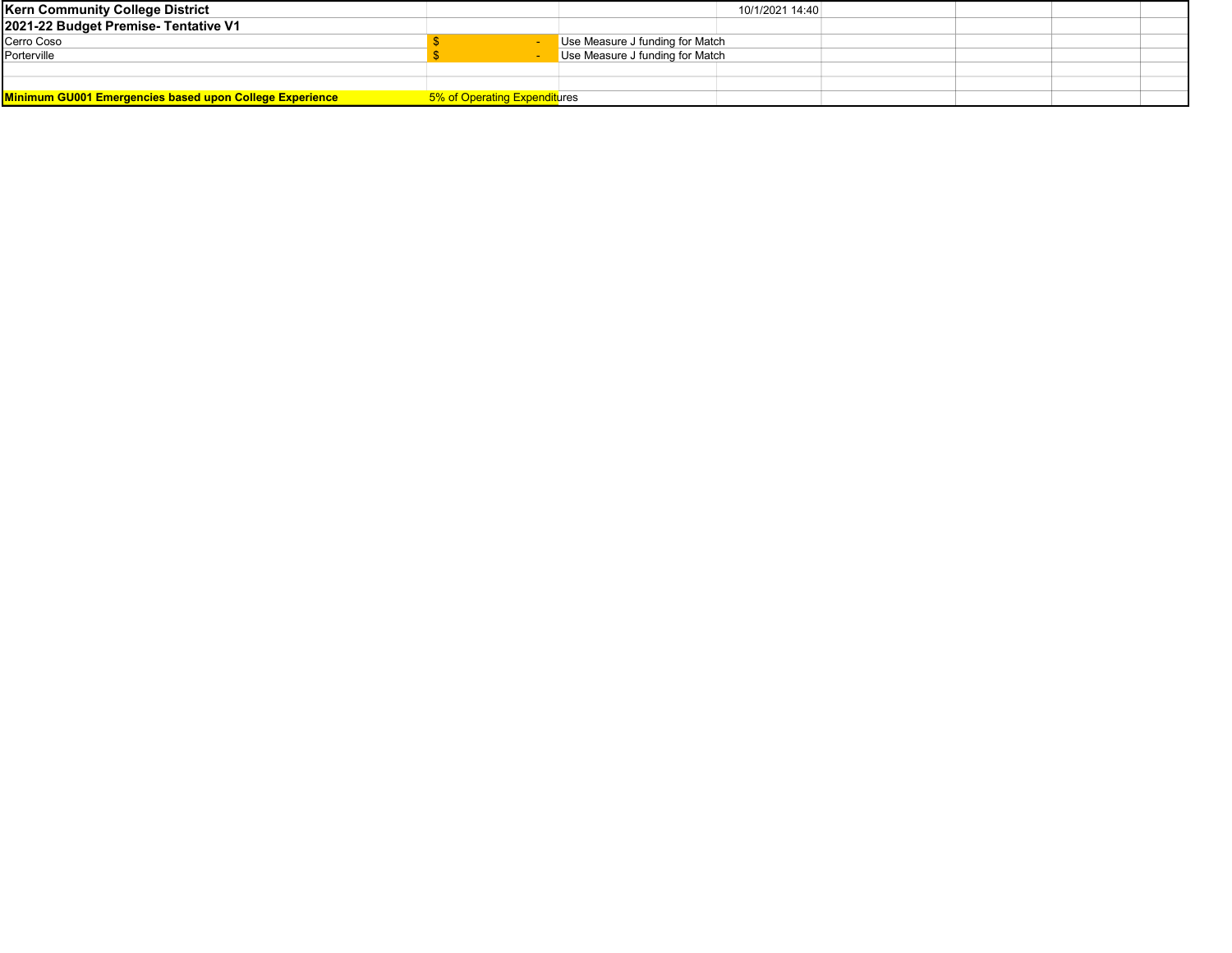| <b>Kern Community College District</b>                         |                              |                                 | 10/1/2021 14:40 |  |  |  |
|----------------------------------------------------------------|------------------------------|---------------------------------|-----------------|--|--|--|
| 2021-22 Budget Premise- Tentative V1                           |                              |                                 |                 |  |  |  |
| Cerro Coso                                                     |                              | Use Measure J funding for Match |                 |  |  |  |
| Porterville                                                    |                              | Use Measure J funding for Match |                 |  |  |  |
|                                                                |                              |                                 |                 |  |  |  |
|                                                                |                              |                                 |                 |  |  |  |
| <b>Minimum GU001 Emergencies based upon College Experience</b> | 5% of Operating Expenditures |                                 |                 |  |  |  |
|                                                                |                              |                                 |                 |  |  |  |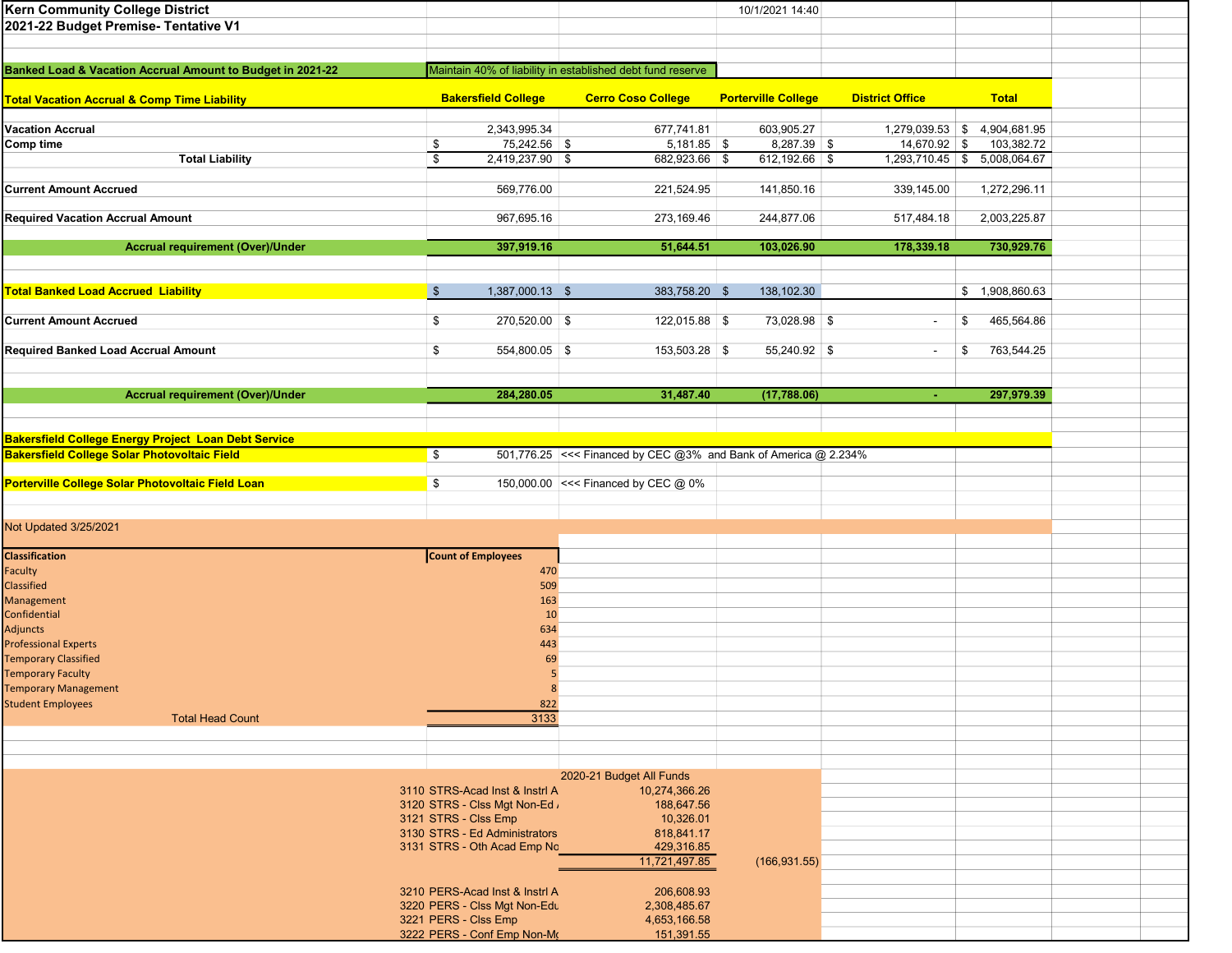| <b>Kern Community College District</b>                                                                      |                                                         |                                                                 | 10/1/2021 14:40            |                          |                              |  |
|-------------------------------------------------------------------------------------------------------------|---------------------------------------------------------|-----------------------------------------------------------------|----------------------------|--------------------------|------------------------------|--|
| 2021-22 Budget Premise- Tentative V1                                                                        |                                                         |                                                                 |                            |                          |                              |  |
|                                                                                                             |                                                         |                                                                 |                            |                          |                              |  |
|                                                                                                             |                                                         |                                                                 |                            |                          |                              |  |
| Banked Load & Vacation Accrual Amount to Budget in 2021-22                                                  |                                                         | Maintain 40% of liability in established debt fund reserve      |                            |                          |                              |  |
|                                                                                                             | <b>Bakersfield College</b><br><b>Cerro Coso College</b> |                                                                 | <b>District Office</b>     |                          | <b>Total</b>                 |  |
| <b>Total Vacation Accrual &amp; Comp Time Liability</b>                                                     |                                                         |                                                                 | <b>Porterville College</b> |                          |                              |  |
| <b>Vacation Accrual</b>                                                                                     | 2,343,995.34                                            | 677,741.81                                                      | 603,905.27                 |                          | 1,279,039.53 \$4,904,681.95  |  |
| Comp time                                                                                                   | 75,242.56 \$<br>\$                                      | $5,181.85$ \$                                                   | 8,287.39 \$                | $14,670.92$ \$           | 103,382.72                   |  |
| <b>Total Liability</b>                                                                                      | \$<br>$2,419,237.90$ \$                                 | 682,923.66 \$                                                   | $612,192.66$ \$            |                          | 1,293,710.45 \$ 5,008,064.67 |  |
|                                                                                                             |                                                         |                                                                 |                            |                          |                              |  |
| <b>Current Amount Accrued</b>                                                                               | 569,776.00                                              | 221,524.95                                                      | 141,850.16                 | 339,145.00               | 1,272,296.11                 |  |
|                                                                                                             |                                                         |                                                                 |                            |                          |                              |  |
| <b>Required Vacation Accrual Amount</b>                                                                     | 967,695.16                                              | 273,169.46                                                      | 244,877.06                 | 517,484.18               | 2,003,225.87                 |  |
|                                                                                                             |                                                         |                                                                 |                            |                          |                              |  |
| <b>Accrual requirement (Over)/Under</b>                                                                     | 397,919.16                                              | 51,644.51                                                       | 103,026.90                 | 178,339.18               | 730,929.76                   |  |
|                                                                                                             |                                                         |                                                                 |                            |                          |                              |  |
| <b>Total Banked Load Accrued Liability</b>                                                                  | $\mathfrak{S}$<br>1,387,000.13 \$                       | 383,758.20 \$                                                   | 138,102.30                 |                          | \$1,908,860.63               |  |
|                                                                                                             |                                                         |                                                                 |                            |                          |                              |  |
| <b>Current Amount Accrued</b>                                                                               | 270,520.00 \$<br>\$                                     | 122,015.88 \$                                                   | 73,028.98 \$               | $\overline{\phantom{a}}$ | 465,564.86<br>\$             |  |
|                                                                                                             |                                                         |                                                                 |                            |                          |                              |  |
| Required Banked Load Accrual Amount                                                                         | 554,800.05 \$<br>\$                                     | 153,503.28 \$                                                   | $55,240.92$ \$             | $\sim$                   | 763,544.25<br>\$             |  |
|                                                                                                             |                                                         |                                                                 |                            |                          |                              |  |
|                                                                                                             |                                                         |                                                                 |                            |                          |                              |  |
| <b>Accrual requirement (Over)/Under</b>                                                                     | 284,280.05                                              | 31,487.40                                                       | (17,788.06)                | $\blacksquare$           | 297,979.39                   |  |
|                                                                                                             |                                                         |                                                                 |                            |                          |                              |  |
|                                                                                                             |                                                         |                                                                 |                            |                          |                              |  |
| Bakersfield College Energy Project Loan Debt Service<br><b>Bakersfield College Solar Photovoltaic Field</b> | \$                                                      | 501,776.25 <<< Financed by CEC @3% and Bank of America @ 2.234% |                            |                          |                              |  |
|                                                                                                             |                                                         |                                                                 |                            |                          |                              |  |
| Porterville College Solar Photovoltaic Field Loan                                                           | \$                                                      | 150,000.00 <<< Financed by CEC @ 0%                             |                            |                          |                              |  |
|                                                                                                             |                                                         |                                                                 |                            |                          |                              |  |
|                                                                                                             |                                                         |                                                                 |                            |                          |                              |  |
| Not Updated 3/25/2021                                                                                       |                                                         |                                                                 |                            |                          |                              |  |
|                                                                                                             |                                                         |                                                                 |                            |                          |                              |  |
| <b>Classification</b>                                                                                       | <b>Count of Employees</b>                               |                                                                 |                            |                          |                              |  |
| Faculty                                                                                                     | 470                                                     |                                                                 |                            |                          |                              |  |
| <b>Classified</b><br>Management                                                                             | 509<br>163                                              |                                                                 |                            |                          |                              |  |
| Confidential                                                                                                | 10                                                      |                                                                 |                            |                          |                              |  |
| Adjuncts                                                                                                    | 634                                                     |                                                                 |                            |                          |                              |  |
| <b>Professional Experts</b>                                                                                 | 443                                                     |                                                                 |                            |                          |                              |  |
| <b>Temporary Classified</b>                                                                                 | 69                                                      |                                                                 |                            |                          |                              |  |
| <b>Temporary Faculty</b>                                                                                    |                                                         |                                                                 |                            |                          |                              |  |
| <b>Temporary Management</b>                                                                                 | 8                                                       |                                                                 |                            |                          |                              |  |
| <b>Student Employees</b>                                                                                    | 822                                                     |                                                                 |                            |                          |                              |  |
| <b>Total Head Count</b>                                                                                     | 3133                                                    |                                                                 |                            |                          |                              |  |
|                                                                                                             |                                                         |                                                                 |                            |                          |                              |  |
|                                                                                                             |                                                         |                                                                 |                            |                          |                              |  |
|                                                                                                             |                                                         | 2020-21 Budget All Funds                                        |                            |                          |                              |  |
|                                                                                                             | 3110 STRS-Acad Inst & Instrl A                          | 10,274,366.26                                                   |                            |                          |                              |  |
|                                                                                                             | 3120 STRS - Clss Mgt Non-Ed ,                           | 188,647.56                                                      |                            |                          |                              |  |
|                                                                                                             | 3121 STRS - Clss Emp                                    | 10,326.01                                                       |                            |                          |                              |  |
|                                                                                                             | 3130 STRS - Ed Administrators                           | 818,841.17                                                      |                            |                          |                              |  |
|                                                                                                             | 3131 STRS - Oth Acad Emp No                             | 429,316.85<br>11,721,497.85                                     | (166, 931.55)              |                          |                              |  |
|                                                                                                             |                                                         |                                                                 |                            |                          |                              |  |
|                                                                                                             | 3210 PERS-Acad Inst & Instrl A                          | 206,608.93                                                      |                            |                          |                              |  |
|                                                                                                             | 3220 PERS - Clss Mgt Non-Edu                            | 2,308,485.67                                                    |                            |                          |                              |  |
|                                                                                                             | 3221 PERS - Clss Emp                                    | 4,653,166.58                                                    |                            |                          |                              |  |
|                                                                                                             | 3222 PERS - Conf Emp Non-Mo                             | 151,391.55                                                      |                            |                          |                              |  |